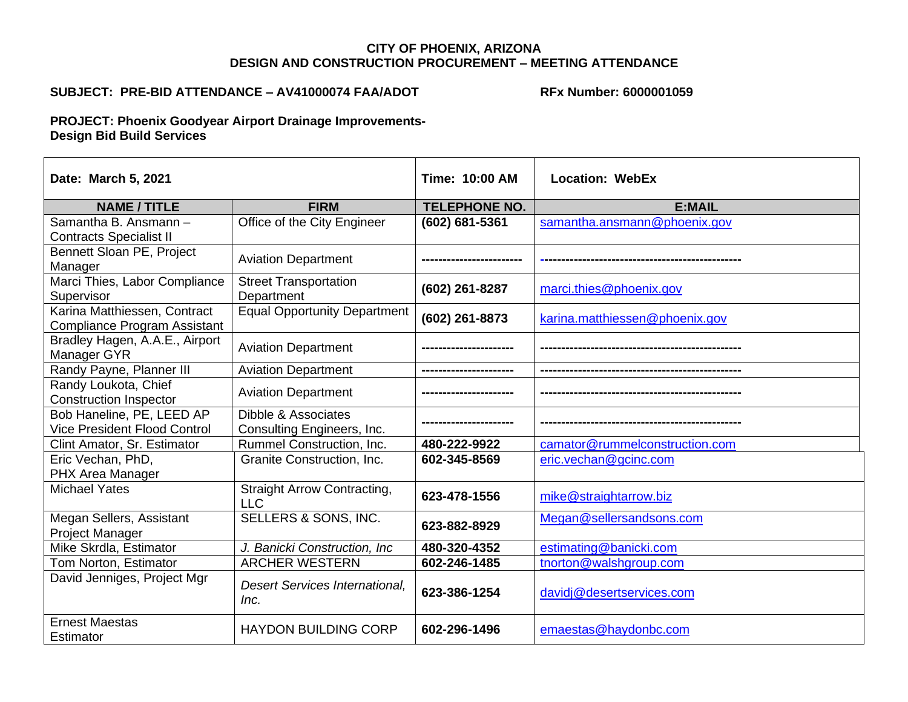## **CITY OF PHOENIX, ARIZONA DESIGN AND CONSTRUCTION PROCUREMENT – MEETING ATTENDANCE**

## **SUBJECT: PRE-BID ATTENDANCE – AV41000074 FAA/ADOT**

**RFx Number: 6000001059**

**PROJECT: Phoenix Goodyear Airport Drainage Improvements-Design Bid Build Services**

| Date: March 5, 2021                                                 |                                                   | <b>Time: 10:00 AM</b> | <b>Location: WebEx</b>         |
|---------------------------------------------------------------------|---------------------------------------------------|-----------------------|--------------------------------|
| <b>NAME / TITLE</b>                                                 | <b>FIRM</b>                                       | <b>TELEPHONE NO.</b>  | <b>E:MAIL</b>                  |
| Samantha B. Ansmann -<br><b>Contracts Specialist II</b>             | Office of the City Engineer                       | (602) 681-5361        | samantha.ansmann@phoenix.gov   |
| Bennett Sloan PE, Project<br>Manager                                | <b>Aviation Department</b>                        |                       |                                |
| Marci Thies, Labor Compliance<br>Supervisor                         | <b>Street Transportation</b><br>Department        | (602) 261-8287        | marci.thies@phoenix.gov        |
| Karina Matthiessen, Contract<br><b>Compliance Program Assistant</b> | <b>Equal Opportunity Department</b>               | (602) 261-8873        | karina.matthiessen@phoenix.gov |
| Bradley Hagen, A.A.E., Airport<br>Manager GYR                       | <b>Aviation Department</b>                        |                       |                                |
| Randy Payne, Planner III                                            | <b>Aviation Department</b>                        |                       |                                |
| Randy Loukota, Chief<br><b>Construction Inspector</b>               | <b>Aviation Department</b>                        |                       |                                |
| Bob Haneline, PE, LEED AP<br><b>Vice President Flood Control</b>    | Dibble & Associates<br>Consulting Engineers, Inc. |                       |                                |
| Clint Amator, Sr. Estimator                                         | <b>Rummel Construction, Inc.</b>                  | 480-222-9922          | camator@rummelconstruction.com |
| Eric Vechan, PhD,<br>PHX Area Manager                               | Granite Construction, Inc.                        | 602-345-8569          | eric.vechan@gcinc.com          |
| <b>Michael Yates</b>                                                | <b>Straight Arrow Contracting,</b><br><b>LLC</b>  | 623-478-1556          | mike@straightarrow.biz         |
| Megan Sellers, Assistant<br>Project Manager                         | SELLERS & SONS, INC.                              | 623-882-8929          | Megan@sellersandsons.com       |
| Mike Skrdla, Estimator                                              | J. Banicki Construction, Inc.                     | 480-320-4352          | estimating@banicki.com         |
| Tom Norton, Estimator                                               | <b>ARCHER WESTERN</b>                             | 602-246-1485          | tnorton@walshgroup.com         |
| David Jenniges, Project Mgr                                         | <b>Desert Services International,</b><br>Inc.     | 623-386-1254          | davidj@desertservices.com      |
| <b>Ernest Maestas</b><br>Estimator                                  | <b>HAYDON BUILDING CORP</b>                       | 602-296-1496          | emaestas@haydonbc.com          |